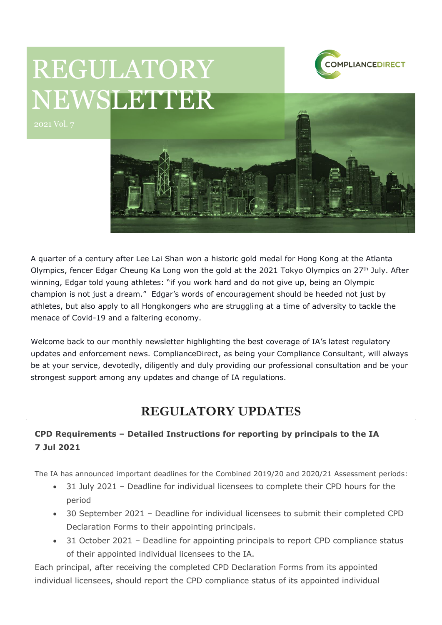

# REGULATORY NEWSLETTER



A quarter of a century after Lee Lai Shan won a historic gold medal for Hong Kong at the Atlanta Olympics, fencer Edgar Cheung Ka Long won the gold at the 2021 Tokyo Olympics on 27<sup>th</sup> July. After winning, Edgar told young athletes: "if you work hard and do not give up, being an Olympic champion is not just a dream." Edgar's words of encouragement should be heeded not just by athletes, but also apply to all Hongkongers who are struggling at a time of adversity to tackle the menace of Covid-19 and a faltering economy.

Welcome back to our monthly newsletter highlighting the best coverage of IA's latest regulatory updates and enforcement news. ComplianceDirect, as being your Compliance Consultant, will always be at your service, devotedly, diligently and duly providing our professional consultation and be your strongest support among any updates and change of IA regulations.

## **REGULATORY UPDATES**

## **CPD Requirements – Detailed Instructions for reporting by principals to the IA 7 Jul 2021**

The IA has announced important deadlines for the Combined 2019/20 and 2020/21 Assessment periods:

- 31 July 2021 Deadline for individual licensees to complete their CPD hours for the period
- 30 September 2021 Deadline for individual licensees to submit their completed CPD Declaration Forms to their appointing principals.
- 31 October 2021 Deadline for appointing principals to report CPD compliance status of their appointed individual licensees to the IA.

Each principal, after receiving the completed CPD Declaration Forms from its appointed individual licensees, should report the CPD compliance status of its appointed individual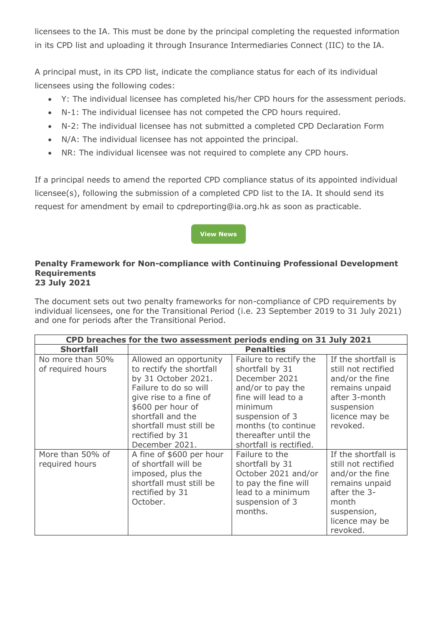licensees to the IA. This must be done by the principal completing the requested information in its CPD list and uploading it through Insurance Intermediaries Connect (IIC) to the IA.

A principal must, in its CPD list, indicate the compliance status for each of its individual licensees using the following codes:

- Y: The individual licensee has completed his/her CPD hours for the assessment periods.
- N-1: The individual licensee has not competed the CPD hours required.
- N-2: The individual licensee has not submitted a completed CPD Declaration Form
- N/A: The individual licensee has not appointed the principal.
- NR: The individual licensee was not required to complete any CPD hours.

If a principal needs to amend the reported CPD compliance status of its appointed individual licensee(s), following the submission of a completed CPD list to the IA. It should send its request for amendment by email to cpdreporting@ia.org.hk as soon as practicable.

### **[View News](https://www.ia.org.hk/en/legislative_framework/circulars/reg_matters/files/Cir_dd_07.07.2021.pdf)**

#### **Penalty Framework for Non-compliance with Continuing Professional Development Requirements 23 July 2021**

The document sets out two penalty frameworks for non-compliance of CPD requirements by individual licensees, one for the Transitional Period (i.e. 23 September 2019 to 31 July 2021) and one for periods after the Transitional Period.

| CPD breaches for the two assessment periods ending on 31 July 2021 |                                                                                                                                                                                                                                        |                                                                                                                                                                                                                |                                                                                                                                                       |  |
|--------------------------------------------------------------------|----------------------------------------------------------------------------------------------------------------------------------------------------------------------------------------------------------------------------------------|----------------------------------------------------------------------------------------------------------------------------------------------------------------------------------------------------------------|-------------------------------------------------------------------------------------------------------------------------------------------------------|--|
| <b>Shortfall</b>                                                   | <b>Penalties</b>                                                                                                                                                                                                                       |                                                                                                                                                                                                                |                                                                                                                                                       |  |
| No more than 50%<br>of required hours                              | Allowed an opportunity<br>to rectify the shortfall<br>by 31 October 2021.<br>Failure to do so will<br>give rise to a fine of<br>\$600 per hour of<br>shortfall and the<br>shortfall must still be<br>rectified by 31<br>December 2021. | Failure to rectify the<br>shortfall by 31<br>December 2021<br>and/or to pay the<br>fine will lead to a<br>minimum<br>suspension of 3<br>months (to continue<br>thereafter until the<br>shortfall is rectified. | If the shortfall is<br>still not rectified<br>and/or the fine<br>remains unpaid<br>after 3-month<br>suspension<br>licence may be<br>revoked.          |  |
| More than 50% of<br>required hours                                 | A fine of \$600 per hour<br>of shortfall will be<br>imposed, plus the<br>shortfall must still be<br>rectified by 31<br>October.                                                                                                        | Failure to the<br>shortfall by 31<br>October 2021 and/or<br>to pay the fine will<br>lead to a minimum<br>suspension of 3<br>months.                                                                            | If the shortfall is<br>still not rectified<br>and/or the fine<br>remains unpaid<br>after the 3-<br>month<br>suspension,<br>licence may be<br>revoked. |  |